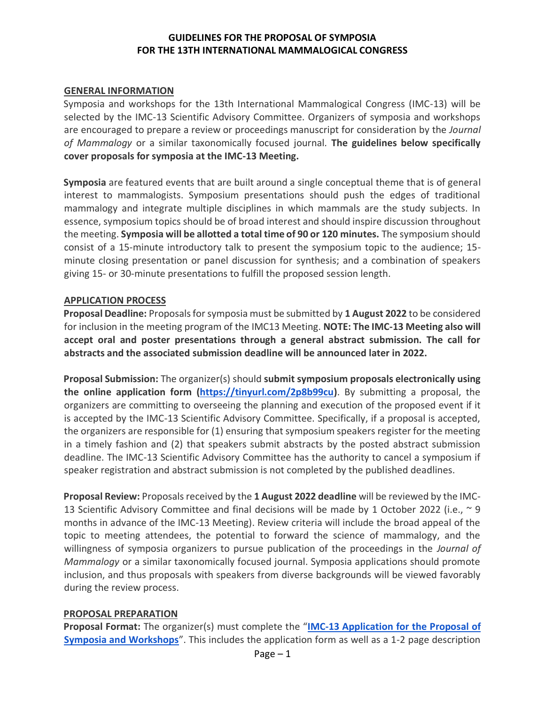### **GUIDELINES FOR THE PROPOSAL OF SYMPOSIA FOR THE 13TH INTERNATIONAL MAMMALOGICAL CONGRESS**

#### **GENERAL INFORMATION**

Symposia and workshops for the 13th International Mammalogical Congress (IMC-13) will be selected by the IMC-13 Scientific Advisory Committee. Organizers of symposia and workshops are encouraged to prepare a review or proceedings manuscript for consideration by the *Journal of Mammalogy* or a similar taxonomically focused journal*.* **The guidelines below specifically cover proposals for symposia at the IMC-13 Meeting.**

**Symposia** are featured events that are built around a single conceptual theme that is of general interest to mammalogists. Symposium presentations should push the edges of traditional mammalogy and integrate multiple disciplines in which mammals are the study subjects. In essence, symposium topics should be of broad interest and should inspire discussion throughout the meeting. **Symposia will be allotted a total time of 90 or 120 minutes.** The symposium should consist of a 15-minute introductory talk to present the symposium topic to the audience; 15 minute closing presentation or panel discussion for synthesis; and a combination of speakers giving 15- or 30-minute presentations to fulfill the proposed session length.

#### **APPLICATION PROCESS**

**Proposal Deadline:** Proposals for symposia must be submitted by **1 August 2022** to be considered for inclusion in the meeting program of the IMC13 Meeting. **NOTE: The IMC-13 Meeting also will accept oral and poster presentations through a general abstract submission. The call for abstracts and the associated submission deadline will be announced later in 2022.**

**Proposal Submission:** The organizer(s) should **submit symposium proposals electronically using the online application form [\(https://tinyurl.com/2p8b99cu\)](https://tinyurl.com/2p8b99cu)**. By submitting a proposal, the organizers are committing to overseeing the planning and execution of the proposed event if it is accepted by the IMC-13 Scientific Advisory Committee. Specifically, if a proposal is accepted, the organizers are responsible for (1) ensuring that symposium speakers register for the meeting in a timely fashion and (2) that speakers submit abstracts by the posted abstract submission deadline. The IMC-13 Scientific Advisory Committee has the authority to cancel a symposium if speaker registration and abstract submission is not completed by the published deadlines.

**Proposal Review:** Proposals received by the **1 August 2022 deadline** will be reviewed by the IMC-13 Scientific Advisory Committee and final decisions will be made by 1 October 2022 (i.e.,  $\sim$  9 months in advance of the IMC-13 Meeting). Review criteria will include the broad appeal of the topic to meeting attendees, the potential to forward the science of mammalogy, and the willingness of symposia organizers to pursue publication of the proceedings in the *Journal of Mammalogy* or a similar taxonomically focused journal. Symposia applications should promote inclusion, and thus proposals with speakers from diverse backgrounds will be viewed favorably during the review process.

### **PROPOSAL PREPARATION**

**Proposal Format:** The organizer(s) must complete the "**[IMC-13 Application for the Proposal of](https://tinyurl.com/2p8b99cu)  [Symposia and Workshops](https://tinyurl.com/2p8b99cu)**". This includes the application form as well as a 1-2 page description